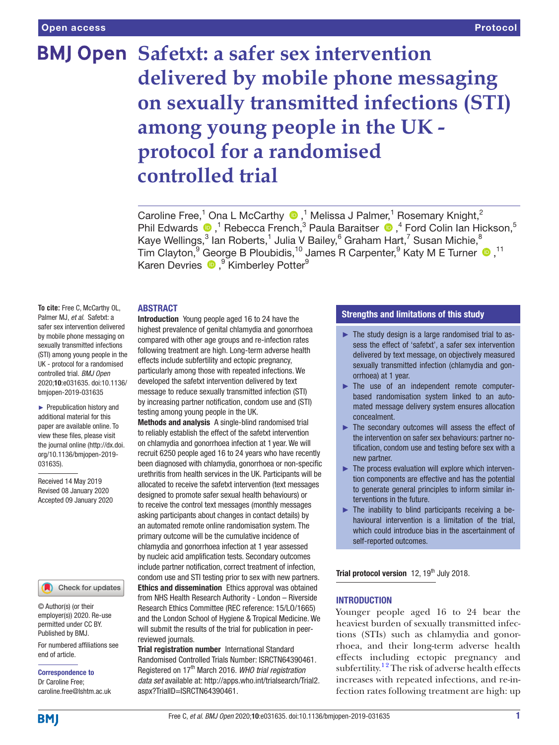# **BMJ Open Safetxt: a safer sex intervention delivered by mobile phone messaging on sexually transmitted infections (STI) among young people in the UK protocol for a randomised controlled trial**

Caroline Free,<sup>1</sup> Ona L McCarthy <sup>1</sup>,<sup>1</sup> Melissa J Palmer,<sup>1</sup> Rosemary Knight,<sup>2</sup> PhilEdwards  $\bullet$ ,<sup>1</sup> Rebecca French,<sup>3</sup> Paula Baraitser  $\bullet$ ,<sup>4</sup> Ford Colin Ian Hickson,<sup>5</sup> Kaye Wellings, $^3$  lan Roberts, $^1$  Julia V Bailey, $^6$  Graham Hart, $^7$  Susan Michie, $^8$ TimClayton,<sup>9</sup> George B Ploubidis,<sup>10</sup> James R Carpenter,<sup>9</sup> Katy M E Turner <sup>11</sup> KarenDevries <sup>®</sup>, <sup>9</sup> Kimberley Potter<sup>9</sup>

#### **ABSTRACT**

**To cite:** Free C, McCarthy OL, Palmer MJ, *et al*. Safetxt: a safer sex intervention delivered by mobile phone messaging on sexually transmitted infections (STI) among young people in the UK - protocol for a randomised controlled trial. *BMJ Open* 2020;10:e031635. doi:10.1136/ bmjopen-2019-031635

► Prepublication history and additional material for this paper are available online. To view these files, please visit the journal online (http://dx.doi. org/10.1136/bmjopen-2019- 031635).

Received 14 May 2019 Revised 08 January 2020 Accepted 09 January 2020

# Check for updates

© Author(s) (or their employer(s)) 2020. Re-use permitted under CC BY. Published by BMJ.

For numbered affiliations see end of article.

Correspondence to Dr Caroline Free; caroline.free@lshtm.ac.uk Introduction Young people aged 16 to 24 have the highest prevalence of genital chlamydia and gonorrhoea compared with other age groups and re-infection rates following treatment are high. Long-term adverse health effects include subfertility and ectopic pregnancy, particularly among those with repeated infections. We developed the safetxt intervention delivered by text message to reduce sexually transmitted infection (STI) by increasing partner notification, condom use and (STI) testing among young people in the UK.

Methods and analysis A single-blind randomised trial to reliably establish the effect of the safetxt intervention on chlamydia and gonorrhoea infection at 1year. We will recruit 6250 people aged 16 to 24 years who have recently been diagnosed with chlamydia, gonorrhoea or non-specific urethritis from health services in the UK. Participants will be allocated to receive the safetxt intervention (text messages designed to promote safer sexual health behaviours) or to receive the control text messages (monthly messages asking participants about changes in contact details) by an automated remote online randomisation system. The primary outcome will be the cumulative incidence of chlamydia and gonorrhoea infection at 1 year assessed by nucleic acid amplification tests. Secondary outcomes include partner notification, correct treatment of infection, condom use and STI testing prior to sex with new partners. Ethics and dissemination Ethics approval was obtained from NHS Health Research Authority - London – Riverside Research Ethics Committee (REC reference: 15/LO/1665) and the London School of Hygiene & Tropical Medicine. We will submit the results of the trial for publication in peerreviewed journals.

**Trial registration number** International Standard Randomised Controlled Trials Number: <ISRCTN64390461>. Registered on 17th March 2016. *WHO trial registration data set* available at: [http://apps.who.int/trialsearch/Trial2.](http://apps.who.int/trialsearch/Trial2.aspx?TrialID=ISRCTN64390461) [aspx?TrialID=ISRCTN64390461.](http://apps.who.int/trialsearch/Trial2.aspx?TrialID=ISRCTN64390461)

## Strengths and limitations of this study

- ► The study design is a large randomised trial to assess the effect of 'safetxt', a safer sex intervention delivered by text message, on objectively measured sexually transmitted infection (chlamydia and gonorrhoea) at 1 year.
- ► The use of an independent remote computerbased randomisation system linked to an automated message delivery system ensures allocation concealment.
- ► The secondary outcomes will assess the effect of the intervention on safer sex behaviours: partner notification, condom use and testing before sex with a new partner.
- ► The process evaluation will explore which intervention components are effective and has the potential to generate general principles to inform similar interventions in the future.
- $\blacktriangleright$  The inability to blind participants receiving a behavioural intervention is a limitation of the trial, which could introduce bias in the ascertainment of self-reported outcomes.

Trial protocol version  $12$ ,  $19<sup>th</sup>$  July 2018.

#### **INTRODUCTION**

Younger people aged 16 to 24 bear the heaviest burden of sexually transmitted infections (STIs) such as chlamydia and gonorrhoea, and their long-term adverse health effects including ectopic pregnancy and subfertility.<sup>12</sup> The risk of adverse health effects increases with repeated infections, and re-infection rates following treatment are high: up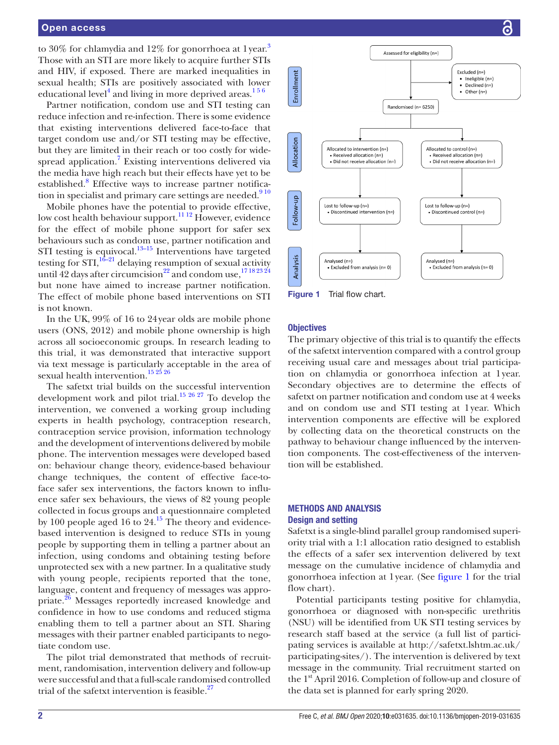## Open access

to [3](#page-7-1)0% for chlamydia and 12% for gonorrhoea at 1 year.<sup>3</sup> Those with an STI are more likely to acquire further STIs and HIV, if exposed. There are marked inequalities in sexual health; STIs are positively associated with lower educational level<sup>[4](#page-7-2)</sup> and living in more deprived areas.<sup>156</sup>

Partner notification, condom use and STI testing can reduce infection and re-infection. There is some evidence that existing interventions delivered face-to-face that target condom use and/or STI testing may be effective, but they are limited in their reach or too costly for wide-spread application.<sup>[7](#page-7-3)</sup> Existing interventions delivered via the media have high reach but their effects have yet to be established.<sup>[8](#page-7-4)</sup> Effective ways to increase partner notification in specialist and primary care settings are needed.<sup>910</sup>

Mobile phones have the potential to provide effective, low cost health behaviour support.<sup>[11 12](#page-7-6)</sup> However, evidence for the effect of mobile phone support for safer sex behaviours such as condom use, partner notification and STI testing is equivocal. $13-15$  Interventions have targeted testing for  $STI$ ,  $16-21$  delaying resumption of sexual activity until 42 days after circumcision<sup>22</sup> and condom use,<sup>[17 18 23 24](#page-7-10)</sup> but none have aimed to increase partner notification. The effect of mobile phone based interventions on STI is not known.

In the UK, 99% of 16 to 24year olds are mobile phone users (ONS, 2012) and mobile phone ownership is high across all socioeconomic groups. In research leading to this trial, it was demonstrated that interactive support via text message is particularly acceptable in the area of sexual health intervention.<sup>15 25</sup> 26

The safetxt trial builds on the successful intervention development work and pilot trial.<sup>15 26 27</sup> To develop the intervention, we convened a working group including experts in health psychology, contraception research, contraception service provision, information technology and the development of interventions delivered by mobile phone. The intervention messages were developed based on: behaviour change theory, evidence-based behaviour change techniques, the content of effective face-toface safer sex interventions, the factors known to influence safer sex behaviours, the views of 82 young people collected in focus groups and a questionnaire completed by 100 people aged 16 to  $24.<sup>15</sup>$  $24.<sup>15</sup>$  $24.<sup>15</sup>$  The theory and evidencebased intervention is designed to reduce STIs in young people by supporting them in telling a partner about an infection, using condoms and obtaining testing before unprotected sex with a new partner. In a qualitative study with young people, recipients reported that the tone, language, content and frequency of messages was appropriate.<sup>26</sup> Messages reportedly increased knowledge and confidence in how to use condoms and reduced stigma enabling them to tell a partner about an STI. Sharing messages with their partner enabled participants to negotiate condom use.

The pilot trial demonstrated that methods of recruitment, randomisation, intervention delivery and follow-up were successful and that a full-scale randomised controlled trial of the safetxt intervention is feasible.<sup>[27](#page-7-13)</sup>



#### <span id="page-1-0"></span>**Objectives**

The primary objective of this trial is to quantify the effects of the safetxt intervention compared with a control group receiving usual care and messages about trial participation on chlamydia or gonorrhoea infection at 1year. Secondary objectives are to determine the effects of safetxt on partner notification and condom use at 4 weeks and on condom use and STI testing at 1year. Which intervention components are effective will be explored by collecting data on the theoretical constructs on the pathway to behaviour change influenced by the intervention components. The cost-effectiveness of the intervention will be established.

## Methods and analysis Design and setting

Safetxt is a single-blind parallel group randomised superiority trial with a 1:1 allocation ratio designed to establish the effects of a safer sex intervention delivered by text message on the cumulative incidence of chlamydia and gonorrhoea infection at 1year. (See [figure](#page-1-0) 1 for the trial flow chart).

Potential participants testing positive for chlamydia, gonorrhoea or diagnosed with non-specific urethritis (NSU) will be identified from UK STI testing services by research staff based at the service (a full list of participating services is available at [http://safetxt.lshtm.ac.uk/](http://safetxt.lshtm.ac.uk/participating-sites/) [participating-sites/](http://safetxt.lshtm.ac.uk/participating-sites/)). The intervention is delivered by text message in the community. Trial recruitment started on the 1<sup>st</sup> April 2016. Completion of follow-up and closure of the data set is planned for early spring 2020.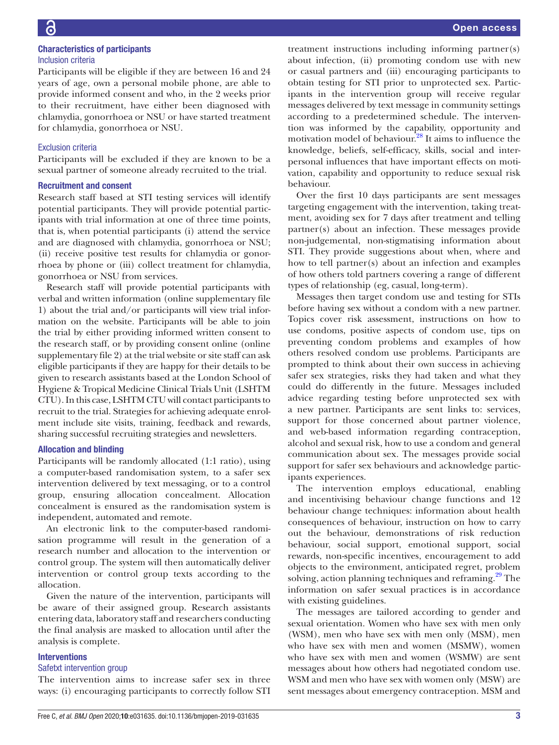Participants will be eligible if they are between 16 and 24 years of age, own a personal mobile phone, are able to provide informed consent and who, in the 2 weeks prior to their recruitment, have either been diagnosed with chlamydia, gonorrhoea or NSU or have started treatment for chlamydia, gonorrhoea or NSU.

# Exclusion criteria

Participants will be excluded if they are known to be a sexual partner of someone already recruited to the trial.

## Recruitment and consent

Research staff based at STI testing services will identify potential participants. They will provide potential participants with trial information at one of three time points, that is, when potential participants (i) attend the service and are diagnosed with chlamydia, gonorrhoea or NSU; (ii) receive positive test results for chlamydia or gonorrhoea by phone or (iii) collect treatment for chlamydia, gonorrhoea or NSU from services.

Research staff will provide potential participants with verbal and written information ([online supplementary file](https://dx.doi.org/10.1136/bmjopen-2019-031635) [1\)](https://dx.doi.org/10.1136/bmjopen-2019-031635) about the trial and/or participants will view trial information on the website. Participants will be able to join the trial by either providing informed written consent to the research staff, or by providing consent online ([online](https://dx.doi.org/10.1136/bmjopen-2019-031635) [supplementary file 2\)](https://dx.doi.org/10.1136/bmjopen-2019-031635) at the trial website or site staff can ask eligible participants if they are happy for their details to be given to research assistants based at the London School of Hygiene & Tropical Medicine Clinical Trials Unit (LSHTM CTU). In this case, LSHTM CTU will contact participants to recruit to the trial. Strategies for achieving adequate enrolment include site visits, training, feedback and rewards, sharing successful recruiting strategies and newsletters.

## Allocation and blinding

Participants will be randomly allocated (1:1 ratio), using a computer-based randomisation system, to a safer sex intervention delivered by text messaging, or to a control group, ensuring allocation concealment. Allocation concealment is ensured as the randomisation system is independent, automated and remote.

An electronic link to the computer-based randomisation programme will result in the generation of a research number and allocation to the intervention or control group. The system will then automatically deliver intervention or control group texts according to the allocation.

Given the nature of the intervention, participants will be aware of their assigned group. Research assistants entering data, laboratory staff and researchers conducting the final analysis are masked to allocation until after the analysis is complete.

#### **Interventions**

#### Safetxt intervention group

The intervention aims to increase safer sex in three ways: (i) encouraging participants to correctly follow STI

treatment instructions including informing partner(s) about infection, (ii) promoting condom use with new or casual partners and (iii) encouraging participants to obtain testing for STI prior to unprotected sex. Participants in the intervention group will receive regular messages delivered by text message in community settings according to a predetermined schedule. The intervention was informed by the capability, opportunity and motivation model of behaviour.<sup>28</sup> It aims to influence the knowledge, beliefs, self-efficacy, skills, social and interpersonal influences that have important effects on motivation, capability and opportunity to reduce sexual risk behaviour.

Over the first 10 days participants are sent messages targeting engagement with the intervention, taking treatment, avoiding sex for 7 days after treatment and telling partner(s) about an infection. These messages provide non-judgemental, non-stigmatising information about STI. They provide suggestions about when, where and how to tell partner(s) about an infection and examples of how others told partners covering a range of different types of relationship (eg, casual, long-term).

Messages then target condom use and testing for STIs before having sex without a condom with a new partner. Topics cover risk assessment, instructions on how to use condoms, positive aspects of condom use, tips on preventing condom problems and examples of how others resolved condom use problems. Participants are prompted to think about their own success in achieving safer sex strategies, risks they had taken and what they could do differently in the future. Messages included advice regarding testing before unprotected sex with a new partner. Participants are sent links to: services, support for those concerned about partner violence, and web-based information regarding contraception, alcohol and sexual risk, how to use a condom and general communication about sex. The messages provide social support for safer sex behaviours and acknowledge participants experiences.

The intervention employs educational, enabling and incentivising behaviour change functions and 12 behaviour change techniques: information about health consequences of behaviour, instruction on how to carry out the behaviour, demonstrations of risk reduction behaviour, social support, emotional support, social rewards, non-specific incentives, encouragement to add objects to the environment, anticipated regret, problem solving, action planning techniques and reframing.<sup>29</sup> The information on safer sexual practices is in accordance with existing guidelines.

The messages are tailored according to gender and sexual orientation. Women who have sex with men only (WSM), men who have sex with men only (MSM), men who have sex with men and women (MSMW), women who have sex with men and women (WSMW) are sent messages about how others had negotiated condom use. WSM and men who have sex with women only (MSW) are sent messages about emergency contraception. MSM and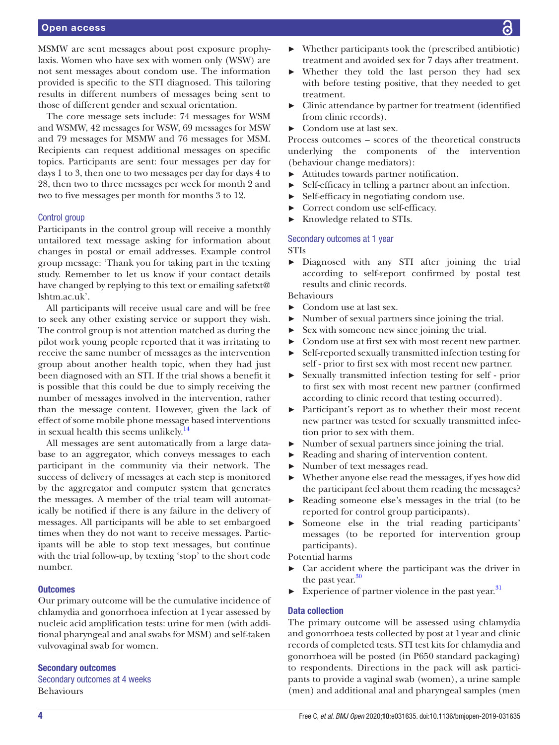## Open access

MSMW are sent messages about post exposure prophylaxis. Women who have sex with women only (WSW) are not sent messages about condom use. The information provided is specific to the STI diagnosed. This tailoring results in different numbers of messages being sent to those of different gender and sexual orientation.

The core message sets include: 74 messages for WSM and WSMW, 42 messages for WSW, 69 messages for MSW and 79 messages for MSMW and 76 messages for MSM. Recipients can request additional messages on specific topics. Participants are sent: four messages per day for days 1 to 3, then one to two messages per day for days 4 to 28, then two to three messages per week for month 2 and two to five messages per month for months 3 to 12.

#### Control group

Participants in the control group will receive a monthly untailored text message asking for information about changes in postal or email addresses. Example control group message: 'Thank you for taking part in the texting study. Remember to let us know if your contact details have changed by replying to this text or emailing safetxt@ lshtm.ac.uk'.

All participants will receive usual care and will be free to seek any other existing service or support they wish. The control group is not attention matched as during the pilot work young people reported that it was irritating to receive the same number of messages as the intervention group about another health topic, when they had just been diagnosed with an STI. If the trial shows a benefit it is possible that this could be due to simply receiving the number of messages involved in the intervention, rather than the message content. However, given the lack of effect of some mobile phone message based interventions in sexual health this seems unlikely[.14](#page-7-16)

All messages are sent automatically from a large database to an aggregator, which conveys messages to each participant in the community via their network. The success of delivery of messages at each step is monitored by the aggregator and computer system that generates the messages. A member of the trial team will automatically be notified if there is any failure in the delivery of messages. All participants will be able to set embargoed times when they do not want to receive messages. Participants will be able to stop text messages, but continue with the trial follow-up, by texting 'stop' to the short code number.

#### **Outcomes**

Our primary outcome will be the cumulative incidence of chlamydia and gonorrhoea infection at 1year assessed by nucleic acid amplification tests: urine for men (with additional pharyngeal and anal swabs for MSM) and self-taken vulvovaginal swab for women.

#### Secondary outcomes

Secondary outcomes at 4 weeks Behaviours

- Whether they told the last person they had sex with before testing positive, that they needed to get treatment.
- ► Clinic attendance by partner for treatment (identified from clinic records).
- Condom use at last sex.

Process outcomes – scores of the theoretical constructs underlying the components of the intervention (behaviour change mediators):

- ► Attitudes towards partner notification.
- ► Self-efficacy in telling a partner about an infection.
- ► Self-efficacy in negotiating condom use.
- ► Correct condom use self-efficacy.
- ► Knowledge related to STIs.

## Secondary outcomes at 1 year STIs

► Diagnosed with any STI after joining the trial according to self-report confirmed by postal test results and clinic records.

Behaviours

- ► Condom use at last sex.
- ► Number of sexual partners since joining the trial.
- Sex with someone new since joining the trial.
- ► Condom use at first sex with most recent new partner.
- ► Self-reported sexually transmitted infection testing for self - prior to first sex with most recent new partner.
- ► Sexually transmitted infection testing for self prior to first sex with most recent new partner (confirmed according to clinic record that testing occurred).
- Participant's report as to whether their most recent new partner was tested for sexually transmitted infection prior to sex with them.
- ► Number of sexual partners since joining the trial.
- ► Reading and sharing of intervention content.
- ► Number of text messages read.
- ► Whether anyone else read the messages, if yes how did the participant feel about them reading the messages?
- ► Reading someone else's messages in the trial (to be reported for control group participants).
- Someone else in the trial reading participants' messages (to be reported for intervention group participants).

Potential harms

- Car accident where the participant was the driver in the past year.<sup>[30](#page-7-17)</sup>
- Experience of partner violence in the past year.<sup>[31](#page-7-18)</sup>

## Data collection

The primary outcome will be assessed using chlamydia and gonorrhoea tests collected by post at 1year and clinic records of completed tests. STI test kits for chlamydia and gonorrhoea will be posted (in P650 standard packaging) to respondents. Directions in the pack will ask participants to provide a vaginal swab (women), a urine sample (men) and additional anal and pharyngeal samples (men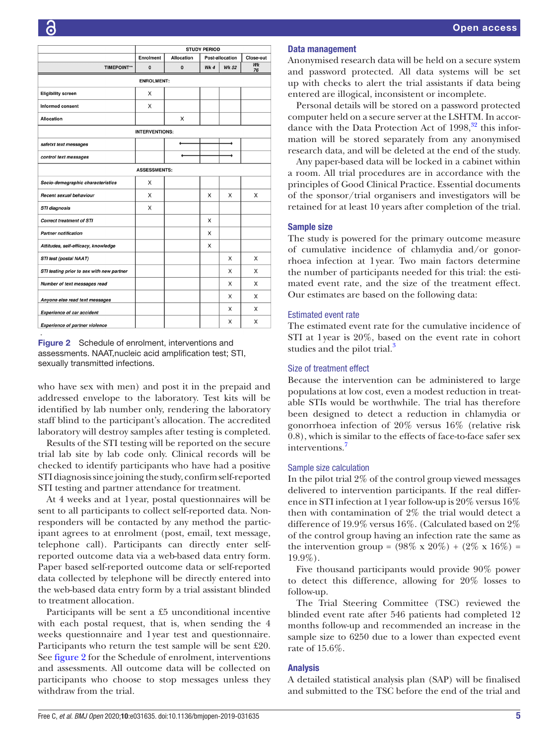|                                           | <b>STUDY PERIOD</b>   |                   |                 |              |                  |
|-------------------------------------------|-----------------------|-------------------|-----------------|--------------|------------------|
|                                           | Enrolment             | <b>Allocation</b> | Post-allocation |              | <b>Close-out</b> |
| <b>TIMEPOINT**</b>                        | 0                     | $\mathbf{0}$      | Wk 4            | <b>Wk 52</b> | Wk<br>76         |
|                                           | <b>ENROLMENT:</b>     |                   |                 |              |                  |
| <b>Eligibility screen</b>                 | X                     |                   |                 |              |                  |
| Informed consent                          | X                     |                   |                 |              |                  |
| <b>Allocation</b>                         |                       | X                 |                 |              |                  |
|                                           | <b>INTERVENTIONS:</b> |                   |                 |              |                  |
| safetxt text messages                     |                       |                   |                 |              |                  |
| control text messages                     |                       |                   |                 |              |                  |
|                                           | <b>ASSESSMENTS:</b>   |                   |                 |              |                  |
| Socio-demographic characteristics         | X                     |                   |                 |              |                  |
| Recent sexual behaviour                   | X                     |                   | X               | X            | X                |
| <b>STI diagnosis</b>                      | X                     |                   |                 |              |                  |
| <b>Correct treatment of STI</b>           |                       |                   | X               |              |                  |
| <b>Partner notification</b>               |                       |                   | X               |              |                  |
| Attitudes, self-efficacy, knowledge       |                       |                   | X               |              |                  |
| STI test (postal NAAT)                    |                       |                   |                 | X            | X                |
| STI testing prior to sex with new partner |                       |                   |                 | X            | X                |
| Number of text messages read              |                       |                   |                 | X            | X                |
| Anyone else read text messages            |                       |                   |                 | X            | X                |
| <b>Experience of car accident</b>         |                       |                   |                 | X            | X                |
| <b>Experience of partner violence</b>     |                       |                   |                 | X            | X                |

<span id="page-4-0"></span>Figure 2 Schedule of enrolment, interventions and assessments. NAAT,nucleic acid amplification test; STI, sexually transmitted infections.

who have sex with men) and post it in the prepaid and addressed envelope to the laboratory. Test kits will be identified by lab number only, rendering the laboratory staff blind to the participant's allocation. The accredited laboratory will destroy samples after testing is completed.

Results of the STI testing will be reported on the secure trial lab site by lab code only. Clinical records will be checked to identify participants who have had a positive STI diagnosis since joining the study, confirm self-reported STI testing and partner attendance for treatment.

At 4 weeks and at 1year, postal questionnaires will be sent to all participants to collect self-reported data. Nonresponders will be contacted by any method the participant agrees to at enrolment (post, email, text message, telephone call). Participants can directly enter selfreported outcome data via a web-based data entry form. Paper based self-reported outcome data or self-reported data collected by telephone will be directly entered into the web-based data entry form by a trial assistant blinded to treatment allocation.

Participants will be sent a £5 unconditional incentive with each postal request, that is, when sending the 4 weeks questionnaire and 1year test and questionnaire. Participants who return the test sample will be sent £20. See [figure](#page-4-0) 2 for the Schedule of enrolment, interventions and assessments. All outcome data will be collected on participants who choose to stop messages unless they withdraw from the trial.

## Data management

Anonymised research data will be held on a secure system and password protected. All data systems will be set up with checks to alert the trial assistants if data being entered are illogical, inconsistent or incomplete.

Personal details will be stored on a password protected computer held on a secure server at the LSHTM. In accordance with the Data Protection Act of  $1998<sup>32</sup>$ , this information will be stored separately from any anonymised research data, and will be deleted at the end of the study.

Any paper-based data will be locked in a cabinet within a room. All trial procedures are in accordance with the principles of Good Clinical Practice. Essential documents of the sponsor/trial organisers and investigators will be retained for at least 10 years after completion of the trial.

## Sample size

The study is powered for the primary outcome measure of cumulative incidence of chlamydia and/or gonorrhoea infection at 1year. Two main factors determine the number of participants needed for this trial: the estimated event rate, and the size of the treatment effect. Our estimates are based on the following data:

## Estimated event rate

The estimated event rate for the cumulative incidence of STI at 1year is 20%, based on the event rate in cohort studies and the pilot trial.<sup>[3](#page-7-1)</sup>

## Size of treatment effect

Because the intervention can be administered to large populations at low cost, even a modest reduction in treatable STIs would be worthwhile. The trial has therefore been designed to detect a reduction in chlamydia or gonorrhoea infection of 20% versus 16% (relative risk 0.8), which is similar to the effects of face-to-face safer sex interventions.<sup>7</sup>

#### Sample size calculation

In the pilot trial 2% of the control group viewed messages delivered to intervention participants. If the real difference in STI infection at 1year follow-up is 20% versus 16% then with contamination of 2% the trial would detect a difference of 19.9% versus 16%. (Calculated based on 2% of the control group having an infection rate the same as the intervention group =  $(98\% \times 20\%) + (2\% \times 16\%) =$ 19.9%).

Five thousand participants would provide 90% power to detect this difference, allowing for 20% losses to follow-up.

The Trial Steering Committee (TSC) reviewed the blinded event rate after 546 patients had completed 12 months follow-up and recommended an increase in the sample size to 6250 due to a lower than expected event rate of 15.6%.

## Analysis

A detailed statistical analysis plan (SAP) will be finalised and submitted to the TSC before the end of the trial and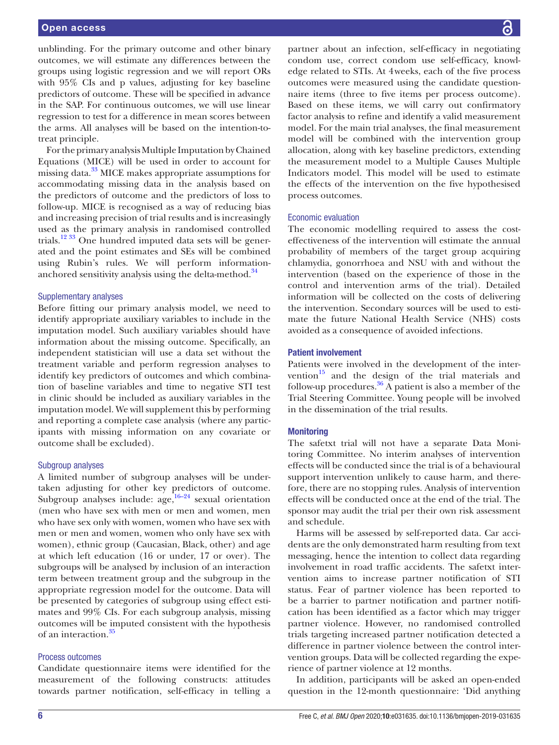unblinding. For the primary outcome and other binary outcomes, we will estimate any differences between the groups using logistic regression and we will report ORs with 95% CIs and p values, adjusting for key baseline predictors of outcome. These will be specified in advance in the SAP. For continuous outcomes, we will use linear regression to test for a difference in mean scores between the arms. All analyses will be based on the intention-totreat principle.

For the primary analysis Multiple Imputation by Chained Equations (MICE) will be used in order to account for missing data.<sup>33</sup> MICE makes appropriate assumptions for accommodating missing data in the analysis based on the predictors of outcome and the predictors of loss to follow-up. MICE is recognised as a way of reducing bias and increasing precision of trial results and is increasingly used as the primary analysis in randomised controlled trials[.12 33](#page-7-21) One hundred imputed data sets will be generated and the point estimates and SEs will be combined using Rubin's rules. We will perform information-anchored sensitivity analysis using the delta-method.<sup>[34](#page-7-22)</sup>

#### Supplementary analyses

Before fitting our primary analysis model, we need to identify appropriate auxiliary variables to include in the imputation model. Such auxiliary variables should have information about the missing outcome. Specifically, an independent statistician will use a data set without the treatment variable and perform regression analyses to identify key predictors of outcomes and which combination of baseline variables and time to negative STI test in clinic should be included as auxiliary variables in the imputation model. We will supplement this by performing and reporting a complete case analysis (where any participants with missing information on any covariate or outcome shall be excluded).

#### Subgroup analyses

A limited number of subgroup analyses will be undertaken adjusting for other key predictors of outcome. Subgroup analyses include:  $age<sup>16-24</sup> sexual orientation$ (men who have sex with men or men and women, men who have sex only with women, women who have sex with men or men and women, women who only have sex with women), ethnic group (Caucasian, Black, other) and age at which left education (16 or under, 17 or over). The subgroups will be analysed by inclusion of an interaction term between treatment group and the subgroup in the appropriate regression model for the outcome. Data will be presented by categories of subgroup using effect estimates and 99% CIs. For each subgroup analysis, missing outcomes will be imputed consistent with the hypothesis of an interaction  $35$ 

#### Process outcomes

Candidate questionnaire items were identified for the measurement of the following constructs: attitudes towards partner notification, self-efficacy in telling a

partner about an infection, self-efficacy in negotiating condom use, correct condom use self-efficacy, knowledge related to STIs. At 4weeks, each of the five process outcomes were measured using the candidate questionnaire items (three to five items per process outcome). Based on these items, we will carry out confirmatory factor analysis to refine and identify a valid measurement model. For the main trial analyses, the final measurement model will be combined with the intervention group allocation, along with key baseline predictors, extending the measurement model to a Multiple Causes Multiple Indicators model. This model will be used to estimate the effects of the intervention on the five hypothesised process outcomes.

#### Economic evaluation

The economic modelling required to assess the costeffectiveness of the intervention will estimate the annual probability of members of the target group acquiring chlamydia, gonorrhoea and NSU with and without the intervention (based on the experience of those in the control and intervention arms of the trial). Detailed information will be collected on the costs of delivering the intervention. Secondary sources will be used to estimate the future National Health Service (NHS) costs avoided as a consequence of avoided infections.

## Patient involvement

Patients were involved in the development of the intervention $15$  and the design of the trial materials and follow-up procedures.<sup>36</sup> A patient is also a member of the Trial Steering Committee. Young people will be involved in the dissemination of the trial results.

## **Monitoring**

The safetxt trial will not have a separate Data Monitoring Committee. No interim analyses of intervention effects will be conducted since the trial is of a behavioural support intervention unlikely to cause harm, and therefore, there are no stopping rules. Analysis of intervention effects will be conducted once at the end of the trial. The sponsor may audit the trial per their own risk assessment and schedule.

Harms will be assessed by self-reported data. Car accidents are the only demonstrated harm resulting from text messaging, hence the intention to collect data regarding involvement in road traffic accidents. The safetxt intervention aims to increase partner notification of STI status. Fear of partner violence has been reported to be a barrier to partner notification and partner notification has been identified as a factor which may trigger partner violence. However, no randomised controlled trials targeting increased partner notification detected a difference in partner violence between the control intervention groups. Data will be collected regarding the experience of partner violence at 12 months.

In addition, participants will be asked an open-ended question in the 12-month questionnaire: 'Did anything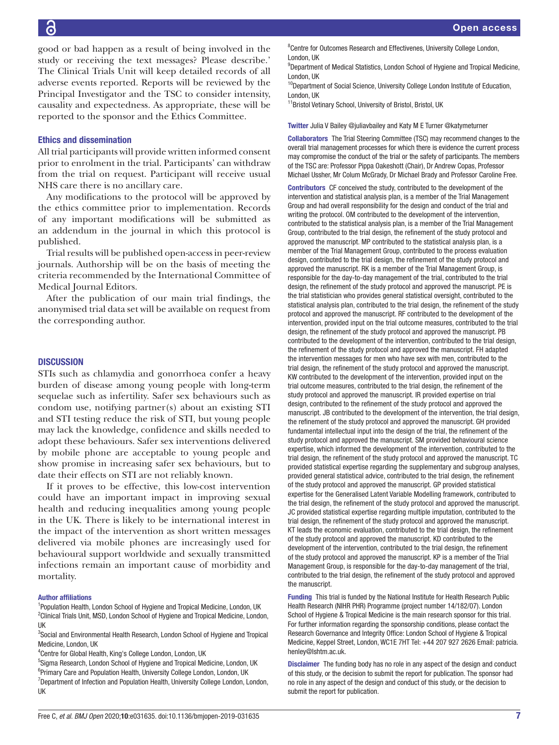good or bad happen as a result of being involved in the study or receiving the text messages? Please describe.' The Clinical Trials Unit will keep detailed records of all adverse events reported. Reports will be reviewed by the Principal Investigator and the TSC to consider intensity, causality and expectedness. As appropriate, these will be reported to the sponsor and the Ethics Committee.

#### Ethics and dissemination

All trial participants will provide written informed consent prior to enrolment in the trial. Participants' can withdraw from the trial on request. Participant will receive usual NHS care there is no ancillary care.

Any modifications to the protocol will be approved by the ethics committee prior to implementation. Records of any important modifications will be submitted as an addendum in the journal in which this protocol is published.

Trial results will be published open-access in peer-review journals. Authorship will be on the basis of meeting the criteria recommended by the International Committee of Medical Journal Editors.

After the publication of our main trial findings, the anonymised trial data set will be available on request from the corresponding author.

## **DISCUSSION**

STIs such as chlamydia and gonorrhoea confer a heavy burden of disease among young people with long-term sequelae such as infertility. Safer sex behaviours such as condom use, notifying partner(s) about an existing STI and STI testing reduce the risk of STI, but young people may lack the knowledge, confidence and skills needed to adopt these behaviours. Safer sex interventions delivered by mobile phone are acceptable to young people and show promise in increasing safer sex behaviours, but to date their effects on STI are not reliably known.

If it proves to be effective, this low-cost intervention could have an important impact in improving sexual health and reducing inequalities among young people in the UK. There is likely to be international interest in the impact of the intervention as short written messages delivered via mobile phones are increasingly used for behavioural support worldwide and sexually transmitted infections remain an important cause of morbidity and mortality.

#### Author affiliations

<sup>1</sup>Population Health, London School of Hygiene and Tropical Medicine, London, UK <sup>2</sup> Clinical Trials Unit, MSD, London School of Hygiene and Tropical Medicine, London, UK

<sup>3</sup>Social and Environmental Health Research, London School of Hygiene and Tropical Medicine, London, UK

4 Centre for Global Health, King's College London, London, UK

<sup>5</sup>Sigma Research, London School of Hygiene and Tropical Medicine, London, UK <sup>6</sup>Primary Care and Population Health, University College London, London, UK <sup>7</sup>Department of Infection and Population Health, University College London, London, UK

<sup>8</sup> Centre for Outcomes Research and Effectivenes, University College London, London, UK

<sup>9</sup>Department of Medical Statistics, London School of Hygiene and Tropical Medicine, London, UK

<sup>10</sup>Department of Social Science, University College London Institute of Education, London, UK

<sup>11</sup>Bristol Vetinary School, University of Bristol, Bristol, UK

Twitter Julia V Bailey [@juliavbailey](https://twitter.com/juliavbailey) and Katy M E Turner [@katymeturner](https://twitter.com/katymeturner)

Collaborators The Trial Steering Committee (TSC) may recommend changes to the overall trial management processes for which there is evidence the current process may compromise the conduct of the trial or the safety of participants. The members of the TSC are: Professor Pippa Oakeshott (Chair), Dr Andrew Copas, Professor Michael Ussher, Mr Colum McGrady, Dr Michael Brady and Professor Caroline Free.

Contributors CF conceived the study, contributed to the development of the intervention and statistical analysis plan, is a member of the Trial Management Group and had overall responsibility for the design and conduct of the trial and writing the protocol. OM contributed to the development of the intervention, contributed to the statistical analysis plan, is a member of the Trial Management Group, contributed to the trial design, the refinement of the study protocol and approved the manuscript. MP contributed to the statistical analysis plan, is a member of the Trial Management Group, contributed to the process evaluation design, contributed to the trial design, the refinement of the study protocol and approved the manuscript. RK is a member of the Trial Management Group, is responsible for the day-to-day management of the trial, contributed to the trial design, the refinement of the study protocol and approved the manuscript. PE is the trial statistician who provides general statistical oversight, contributed to the statistical analysis plan, contributed to the trial design, the refinement of the study protocol and approved the manuscript. RF contributed to the development of the intervention, provided input on the trial outcome measures, contributed to the trial design, the refinement of the study protocol and approved the manuscript. PB contributed to the development of the intervention, contributed to the trial design, the refinement of the study protocol and approved the manuscript. FH adapted the intervention messages for men who have sex with men, contributed to the trial design, the refinement of the study protocol and approved the manuscript. KW contributed to the development of the intervention, provided input on the trial outcome measures, contributed to the trial design, the refinement of the study protocol and approved the manuscript. IR provided expertise on trial design, contributed to the refinement of the study protocol and approved the manuscript. JB contributed to the development of the intervention, the trial design, the refinement of the study protocol and approved the manuscript. GH provided fundamental intellectual input into the design of the trial, the refinement of the study protocol and approved the manuscript. SM provided behavioural science expertise, which informed the development of the intervention, contributed to the trial design, the refinement of the study protocol and approved the manuscript. TC provided statistical expertise regarding the supplementary and subgroup analyses, provided general statistical advice, contributed to the trial design, the refinement of the study protocol and approved the manuscript. GP provided statistical expertise for the Generalised Latent Variable Modelling framework, contributed to the trial design, the refinement of the study protocol and approved the manuscript. JC provided statistical expertise regarding multiple imputation, contributed to the trial design, the refinement of the study protocol and approved the manuscript. KT leads the economic evaluation, contributed to the trial design, the refinement of the study protocol and approved the manuscript. KD contributed to the development of the intervention, contributed to the trial design, the refinement of the study protocol and approved the manuscript. KP is a member of the Trial Management Group, is responsible for the day-to-day management of the trial, contributed to the trial design, the refinement of the study protocol and approved the manuscript.

Funding This trial is funded by the National Institute for Health Research Public Health Research (NIHR PHR) Programme (project number 14/182/07). London School of Hygiene & Tropical Medicine is the main research sponsor for this trial. For further information regarding the sponsorship conditions, please contact the Research Governance and Integrity Office: London School of Hygiene & Tropical Medicine, Keppel Street, London, WC1E 7HT Tel: +44 207 927 2626 Email: patricia. henley@lshtm.ac.uk.

Disclaimer The funding body has no role in any aspect of the design and conduct of this study, or the decision to submit the report for publication. The sponsor had no role in any aspect of the design and conduct of this study, or the decision to submit the report for publication.